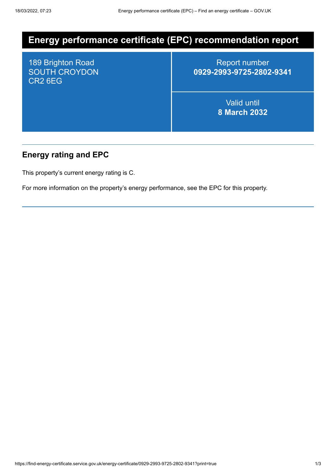# **Energy performance certificate (EPC) recommendation report**

189 Brighton Road SOUTH CROYDON CR2 6EG

Report number **0929-2993-9725-2802-9341**

> Valid until **8 March 2032**

## **Energy rating and EPC**

This property's current energy rating is C.

For more information on the property's energy performance, see the EPC for this property.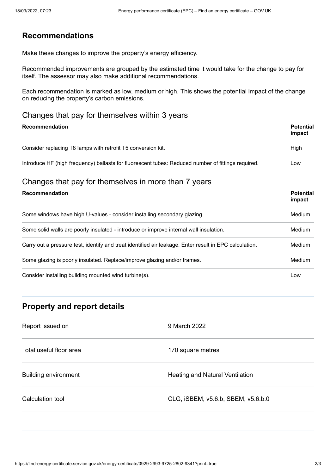## **Recommendations**

Make these changes to improve the property's energy efficiency.

Recommended improvements are grouped by the estimated time it would take for the change to pay for itself. The assessor may also make additional recommendations.

Each recommendation is marked as low, medium or high. This shows the potential impact of the change on reducing the property's carbon emissions.

#### Changes that pay for themselves within 3 years

| <b>Recommendation</b>                                                                                  | <b>Potential</b><br>impact |
|--------------------------------------------------------------------------------------------------------|----------------------------|
| Consider replacing T8 lamps with retrofit T5 conversion kit.                                           | High                       |
| Introduce HF (high frequency) ballasts for fluorescent tubes: Reduced number of fittings required.     | Low                        |
| Changes that pay for themselves in more than 7 years                                                   |                            |
| Recommendation                                                                                         | <b>Potential</b><br>impact |
| Some windows have high U-values - consider installing secondary glazing.                               | <b>Medium</b>              |
| Some solid walls are poorly insulated - introduce or improve internal wall insulation.                 | Medium                     |
| Carry out a pressure test, identify and treat identified air leakage. Enter result in EPC calculation. | Medium                     |
| Some glazing is poorly insulated. Replace/improve glazing and/or frames.                               | <b>Medium</b>              |
| Consider installing building mounted wind turbine(s).                                                  | Low                        |

# **Property and report details**

| Report issued on            | 9 March 2022                       |
|-----------------------------|------------------------------------|
| Total useful floor area     | 170 square metres                  |
| <b>Building environment</b> | Heating and Natural Ventilation    |
| Calculation tool            | CLG, ISBEM, v5.6.b, SBEM, v5.6.b.0 |